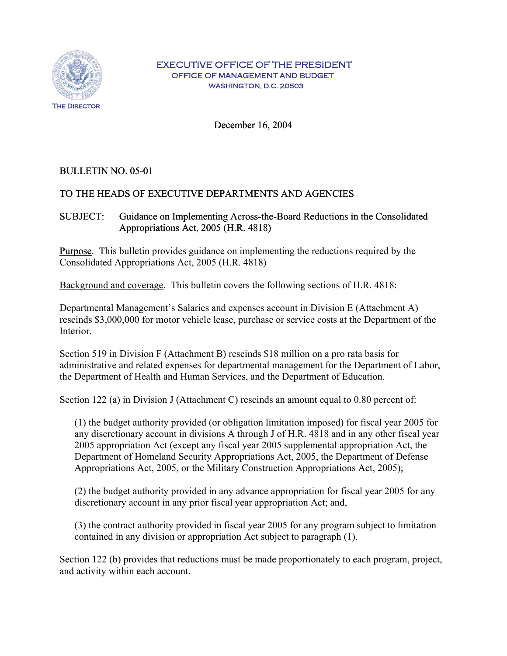

#### EXECUTIVE OFFICE OF THE PRESIDENT OFFICE OF MANAGEMENT AND BUDGET WASHINGTON, D.C. 20503

December 16, 2004

# BULLETIN NO. 05-01

# TO THE HEADS OF EXECUTIVE DEPARTMENTS AND AGENCIES

### SUBJECT: Guidance on Implementing Across-the-Board Reductions in the Consolidated Appropriations Act, 2005 (H.R. 4818)

Purpose. This bulletin provides guidance on implementing the reductions required by the Consolidated Appropriations Act, 2005 (H.R. 4818)

Background and coverage. This bulletin covers the following sections of H.R. 4818:

Departmental Management's Salaries and expenses account in Division E (Attachment A) rescinds \$3,000,000 for motor vehicle lease, purchase or service costs at the Department of the **Interior** 

Section 519 in Division F (Attachment B) rescinds \$18 million on a pro rata basis for administrative and related expenses for departmental management for the Department of Labor, the Department of Health and Human Services, and the Department of Education.

Section 122 (a) in Division J (Attachment C) rescinds an amount equal to 0.80 percent of:

(1) the budget authority provided (or obligation limitation imposed) for fiscal year 2005 for any discretionary account in divisions A through J of H.R. 4818 and in any other fiscal year 2005 appropriation Act (except any fiscal year 2005 supplemental appropriation Act, the Department of Homeland Security Appropriations Act, 2005, the Department of Defense Appropriations Act, 2005, or the Military Construction Appropriations Act, 2005);

(2) the budget authority provided in any advance appropriation for fiscal year 2005 for any discretionary account in any prior fiscal year appropriation Act; and,

(3) the contract authority provided in fiscal year 2005 for any program subject to limitation contained in any division or appropriation Act subject to paragraph (1).

Section 122 (b) provides that reductions must be made proportionately to each program, project, and activity within each account.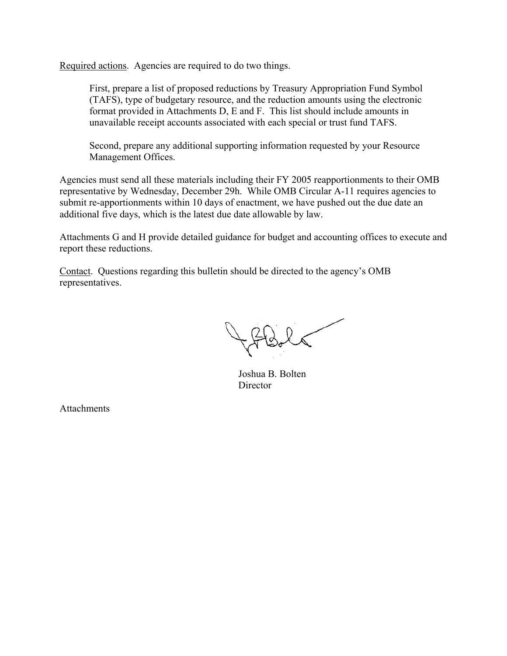Required actions. Agencies are required to do two things.

First, prepare a list of proposed reductions by Treasury Appropriation Fund Symbol (TAFS), type of budgetary resource, and the reduction amounts using the electronic format provided in Attachments D, E and F. This list should include amounts in unavailable receipt accounts associated with each special or trust fund TAFS.

Second, prepare any additional supporting information requested by your Resource Management Offices.

Agencies must send all these materials including their FY 2005 reapportionments to their OMB representative by Wednesday, December 29h. While OMB Circular A-11 requires agencies to submit re-apportionments within 10 days of enactment, we have pushed out the due date an additional five days, which is the latest due date allowable by law.

Attachments G and H provide detailed guidance for budget and accounting offices to execute and report these reductions.

Contact. Questions regarding this bulletin should be directed to the agency's OMB representatives.

 Joshua B. Bolten **Director** 

**Attachments**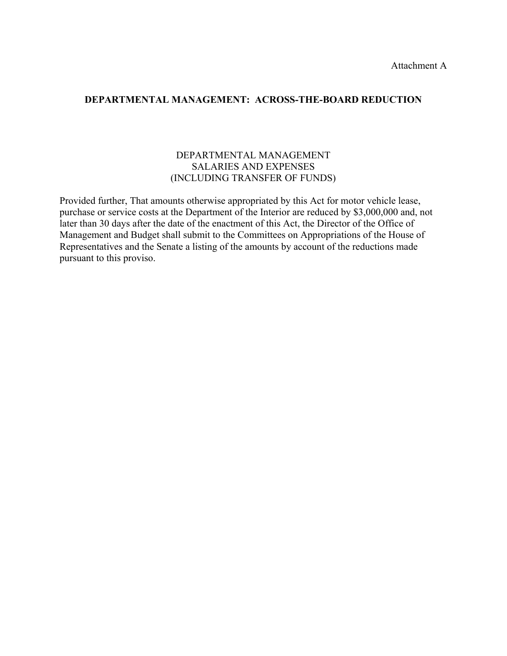### **DEPARTMENTAL MANAGEMENT: ACROSS-THE-BOARD REDUCTION**

### DEPARTMENTAL MANAGEMENT SALARIES AND EXPENSES (INCLUDING TRANSFER OF FUNDS)

Provided further, That amounts otherwise appropriated by this Act for motor vehicle lease, purchase or service costs at the Department of the Interior are reduced by \$3,000,000 and, not later than 30 days after the date of the enactment of this Act, the Director of the Office of Management and Budget shall submit to the Committees on Appropriations of the House of Representatives and the Senate a listing of the amounts by account of the reductions made pursuant to this proviso.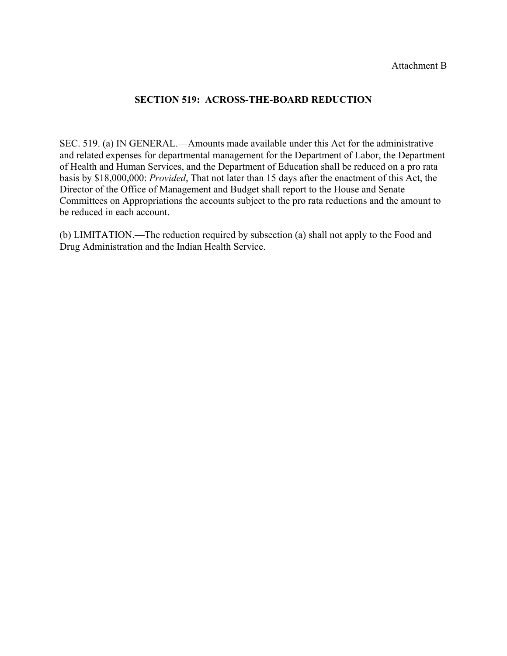#### Attachment B

### **SECTION 519: ACROSS-THE-BOARD REDUCTION**

SEC. 519. (a) IN GENERAL.—Amounts made available under this Act for the administrative and related expenses for departmental management for the Department of Labor, the Department of Health and Human Services, and the Department of Education shall be reduced on a pro rata basis by \$18,000,000: *Provided*, That not later than 15 days after the enactment of this Act, the Director of the Office of Management and Budget shall report to the House and Senate Committees on Appropriations the accounts subject to the pro rata reductions and the amount to be reduced in each account.

(b) LIMITATION.—The reduction required by subsection (a) shall not apply to the Food and Drug Administration and the Indian Health Service.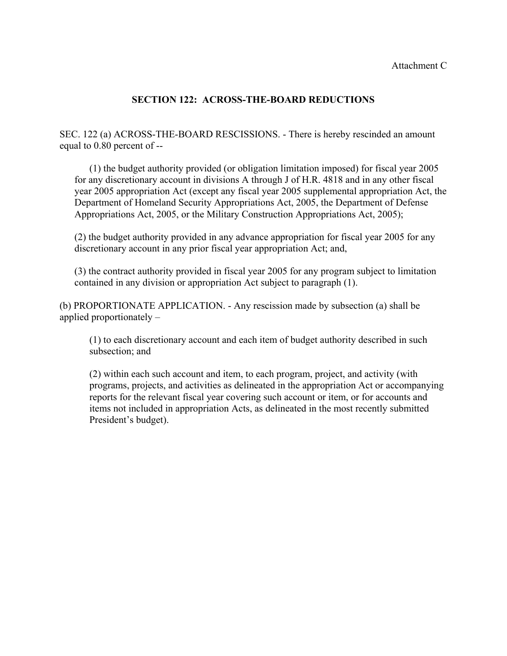### Attachment C

# **SECTION 122: ACROSS-THE-BOARD REDUCTIONS**

SEC. 122 (a) ACROSS-THE-BOARD RESCISSIONS. - There is hereby rescinded an amount equal to 0.80 percent of --

 (1) the budget authority provided (or obligation limitation imposed) for fiscal year 2005 for any discretionary account in divisions A through J of H.R. 4818 and in any other fiscal year 2005 appropriation Act (except any fiscal year 2005 supplemental appropriation Act, the Department of Homeland Security Appropriations Act, 2005, the Department of Defense Appropriations Act, 2005, or the Military Construction Appropriations Act, 2005);

(2) the budget authority provided in any advance appropriation for fiscal year 2005 for any discretionary account in any prior fiscal year appropriation Act; and,

(3) the contract authority provided in fiscal year 2005 for any program subject to limitation contained in any division or appropriation Act subject to paragraph (1).

(b) PROPORTIONATE APPLICATION. - Any rescission made by subsection (a) shall be applied proportionately –

 (1) to each discretionary account and each item of budget authority described in such subsection; and

 (2) within each such account and item, to each program, project, and activity (with programs, projects, and activities as delineated in the appropriation Act or accompanying reports for the relevant fiscal year covering such account or item, or for accounts and items not included in appropriation Acts, as delineated in the most recently submitted President's budget).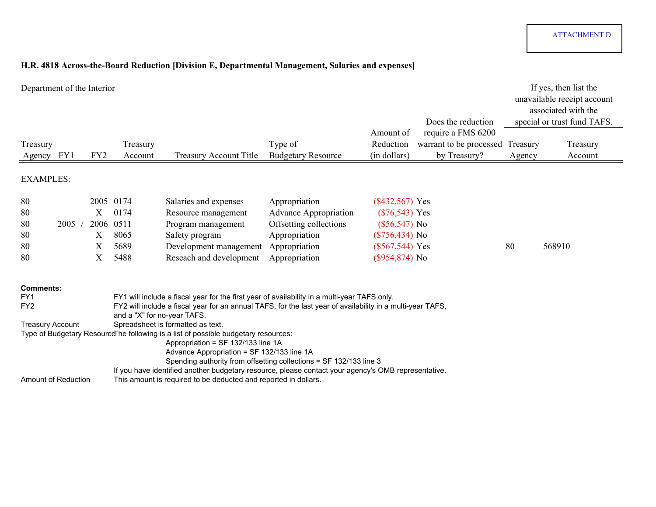# **H.R. 4818 Across-the-Board Reduction [Division E, Departmental Management, Salaries and expenses]**

| Department of the Interior                                            |      |                  |                                                        |                                                                                                                                                                                                                                                                                                                                                                                                                                                                                                                                  |                                                                                                                            | Amount of                                                                                                             | Does the reduction<br>require a FMS 6200 |          | If yes, then list the<br>unavailable receipt account<br>associated with the<br>special or trust fund TAFS. |
|-----------------------------------------------------------------------|------|------------------|--------------------------------------------------------|----------------------------------------------------------------------------------------------------------------------------------------------------------------------------------------------------------------------------------------------------------------------------------------------------------------------------------------------------------------------------------------------------------------------------------------------------------------------------------------------------------------------------------|----------------------------------------------------------------------------------------------------------------------------|-----------------------------------------------------------------------------------------------------------------------|------------------------------------------|----------|------------------------------------------------------------------------------------------------------------|
| Treasury                                                              |      |                  | Treasury                                               |                                                                                                                                                                                                                                                                                                                                                                                                                                                                                                                                  | Type of                                                                                                                    | Reduction                                                                                                             | warrant to be processed                  | Treasury | Treasury                                                                                                   |
| Agency                                                                | FY1  | FY <sub>2</sub>  | Account                                                | <b>Treasury Account Title</b>                                                                                                                                                                                                                                                                                                                                                                                                                                                                                                    | <b>Budgetary Resource</b>                                                                                                  | (in dollars)                                                                                                          | by Treasury?                             | Agency   | Account                                                                                                    |
| <b>EXAMPLES:</b>                                                      |      |                  |                                                        |                                                                                                                                                                                                                                                                                                                                                                                                                                                                                                                                  |                                                                                                                            |                                                                                                                       |                                          |          |                                                                                                            |
| 80<br>80<br>80<br>80<br>80<br>80                                      | 2005 | X<br>X<br>Χ<br>X | 2005 0174<br>0174<br>2006 0511<br>8065<br>5689<br>5488 | Salaries and expenses<br>Resource management<br>Program management<br>Safety program<br>Development management<br>Reseach and development                                                                                                                                                                                                                                                                                                                                                                                        | Appropriation<br><b>Advance Appropriation</b><br>Offsetting collections<br>Appropriation<br>Appropriation<br>Appropriation | $(\$432,567)$ Yes<br>$(\$76,543)$ Yes<br>$(\$56,547)$ No<br>$(\$756,434)$ No<br>$(\$567,544)$ Yes<br>$(\$954,874)$ No |                                          | 80       | 568910                                                                                                     |
| <b>Comments:</b><br>FY1<br>FY <sub>2</sub><br><b>Treasury Account</b> |      |                  | and a "X" for no-year TAFS.                            | FY1 will include a fiscal year for the first year of availability in a multi-year TAFS only.<br>FY2 will include a fiscal year for an annual TAFS, for the last year of availability in a multi-year TAFS,<br>Spreadsheet is formatted as text.<br>Type of Budgetary ResourceThe following is a list of possible budgetary resources:<br>Appropriation = SF 132/133 line 1A<br>Advance Appropriation = SF 132/133 line 1A<br>If you have identified another budgetary resource, please contact your agency's OMB representative. | Spending authority from offsetting collections = SF 132/133 line 3                                                         |                                                                                                                       |                                          |          |                                                                                                            |
| Amount of Reduction                                                   |      |                  |                                                        | This amount is required to be deducted and reported in dollars.                                                                                                                                                                                                                                                                                                                                                                                                                                                                  |                                                                                                                            |                                                                                                                       |                                          |          |                                                                                                            |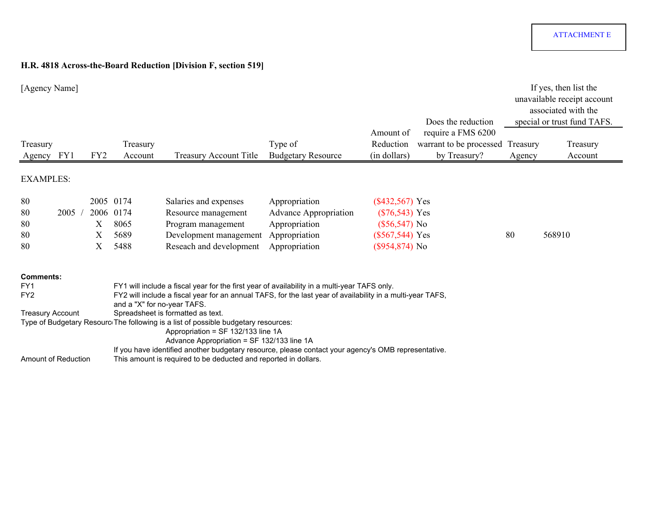# **H.R. 4818 Across-the-Board Reduction [Division F, section 519]**

| [Agency Name]                                                                                |      |                 |                                                |                                                                                                                                                                                                                                                                                                                                                                                                                                                                                                                                                                                                     |                                                                                                  |                                                                                                   | Does the reduction                                            |                    | If yes, then list the<br>unavailable receipt account<br>associated with the<br>special or trust fund TAFS. |
|----------------------------------------------------------------------------------------------|------|-----------------|------------------------------------------------|-----------------------------------------------------------------------------------------------------------------------------------------------------------------------------------------------------------------------------------------------------------------------------------------------------------------------------------------------------------------------------------------------------------------------------------------------------------------------------------------------------------------------------------------------------------------------------------------------------|--------------------------------------------------------------------------------------------------|---------------------------------------------------------------------------------------------------|---------------------------------------------------------------|--------------------|------------------------------------------------------------------------------------------------------------|
| Treasury<br>Agency                                                                           | FY1  | FY <sub>2</sub> | Treasury<br>Account                            | <b>Treasury Account Title</b>                                                                                                                                                                                                                                                                                                                                                                                                                                                                                                                                                                       | Type of<br><b>Budgetary Resource</b>                                                             | Amount of<br>Reduction<br>(in dollars)                                                            | require a FMS 6200<br>warrant to be processed<br>by Treasury? | Treasury<br>Agency | Treasury<br>Account                                                                                        |
| <b>EXAMPLES:</b>                                                                             |      |                 |                                                |                                                                                                                                                                                                                                                                                                                                                                                                                                                                                                                                                                                                     |                                                                                                  |                                                                                                   |                                                               |                    |                                                                                                            |
| 80<br>80<br>80<br>80<br>80                                                                   | 2005 | Х<br>Х<br>X     | 2005 0174<br>2006 0174<br>8065<br>5689<br>5488 | Salaries and expenses<br>Resource management<br>Program management<br>Development management<br>Reseach and development                                                                                                                                                                                                                                                                                                                                                                                                                                                                             | Appropriation<br><b>Advance Appropriation</b><br>Appropriation<br>Appropriation<br>Appropriation | $(\$432,567)$ Yes<br>$(\$76,543)$ Yes<br>$(\$56,547)$ No<br>$(\$567,544)$ Yes<br>$(\$954,874)$ No |                                                               | 80                 | 568910                                                                                                     |
| <b>Comments:</b><br>FY1<br>FY <sub>2</sub><br><b>Treasury Account</b><br>Amount of Reduction |      |                 | and a "X" for no-year TAFS.                    | FY1 will include a fiscal year for the first year of availability in a multi-year TAFS only.<br>FY2 will include a fiscal year for an annual TAFS, for the last year of availability in a multi-year TAFS,<br>Spreadsheet is formatted as text.<br>Type of Budgetary Resourc The following is a list of possible budgetary resources:<br>Appropriation = SF 132/133 line 1A<br>Advance Appropriation = SF 132/133 line 1A<br>If you have identified another budgetary resource, please contact your agency's OMB representative.<br>This amount is required to be deducted and reported in dollars. |                                                                                                  |                                                                                                   |                                                               |                    |                                                                                                            |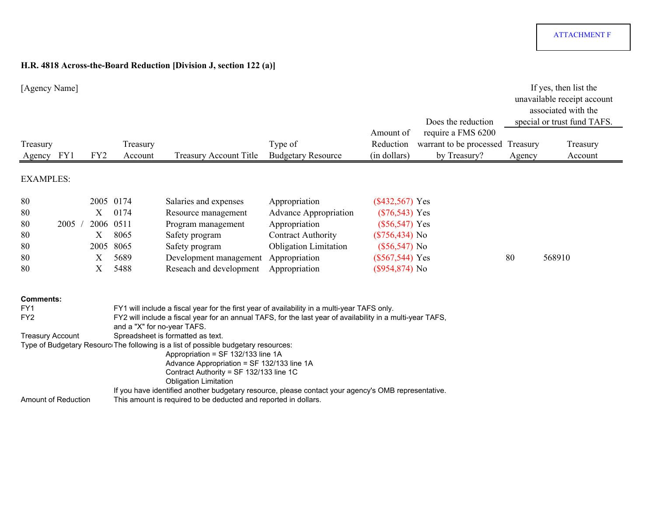# **H.R. 4818 Across-the-Board Reduction [Division J, section 122 (a)]**

| [Agency Name]                      |      |                 |                             |                                                                                                                                                                                                                                                   |                              |                        | Does the reduction                            |          | If yes, then list the<br>unavailable receipt account<br>associated with the<br>special or trust fund TAFS. |
|------------------------------------|------|-----------------|-----------------------------|---------------------------------------------------------------------------------------------------------------------------------------------------------------------------------------------------------------------------------------------------|------------------------------|------------------------|-----------------------------------------------|----------|------------------------------------------------------------------------------------------------------------|
| Treasury                           |      |                 | Treasury                    |                                                                                                                                                                                                                                                   | Type of                      | Amount of<br>Reduction | require a FMS 6200<br>warrant to be processed | Treasury | Treasury                                                                                                   |
| Agency FY1                         |      | FY <sub>2</sub> | Account                     | <b>Treasury Account Title</b>                                                                                                                                                                                                                     | <b>Budgetary Resource</b>    | (in dollars)           | by Treasury?                                  | Agency   | Account                                                                                                    |
| <b>EXAMPLES:</b>                   |      |                 |                             |                                                                                                                                                                                                                                                   |                              |                        |                                               |          |                                                                                                            |
| 80                                 |      |                 | 2005 0174                   | Salaries and expenses                                                                                                                                                                                                                             | Appropriation                | $(\$432,567)$ Yes      |                                               |          |                                                                                                            |
| 80                                 |      | Х               | 0174                        | Resource management                                                                                                                                                                                                                               | <b>Advance Appropriation</b> | $(\$76,543)$ Yes       |                                               |          |                                                                                                            |
| 80                                 | 2005 | 2006            | 0511                        | Program management                                                                                                                                                                                                                                | Appropriation                | $(\$56,547)$ Yes       |                                               |          |                                                                                                            |
| 80                                 |      | Х               | 8065                        | Safety program                                                                                                                                                                                                                                    | <b>Contract Authority</b>    | $(\$756,434)$ No       |                                               |          |                                                                                                            |
| 80                                 |      | 2005            | 8065                        | Safety program                                                                                                                                                                                                                                    | <b>Obligation Limitation</b> | $(\$56,547)$ No        |                                               |          |                                                                                                            |
| 80                                 |      | Χ               | 5689                        | Development management                                                                                                                                                                                                                            | Appropriation                | $(\$567,544)$ Yes      |                                               | 80       | 568910                                                                                                     |
| 80                                 |      | X               | 5488                        | Reseach and development                                                                                                                                                                                                                           | Appropriation                | $($954,874)$ No        |                                               |          |                                                                                                            |
| <b>Comments:</b>                   |      |                 |                             |                                                                                                                                                                                                                                                   |                              |                        |                                               |          |                                                                                                            |
| FY <sub>1</sub><br>FY <sub>2</sub> |      |                 | and a "X" for no-year TAFS. | FY1 will include a fiscal year for the first year of availability in a multi-year TAFS only.<br>FY2 will include a fiscal year for an annual TAFS, for the last year of availability in a multi-year TAFS,                                        |                              |                        |                                               |          |                                                                                                            |
| <b>Treasury Account</b>            |      |                 |                             | Spreadsheet is formatted as text.                                                                                                                                                                                                                 |                              |                        |                                               |          |                                                                                                            |
|                                    |      |                 |                             | Type of Budgetary Resourc The following is a list of possible budgetary resources:<br>Appropriation = SF 132/133 line 1A<br>Advance Appropriation = SF 132/133 line 1A<br>Contract Authority = SF 132/133 line 1C<br><b>Obligation Limitation</b> |                              |                        |                                               |          |                                                                                                            |
| Amount of Reduction                |      |                 |                             | If you have identified another budgetary resource, please contact your agency's OMB representative.<br>This amount is required to be deducted and reported in dollars.                                                                            |                              |                        |                                               |          |                                                                                                            |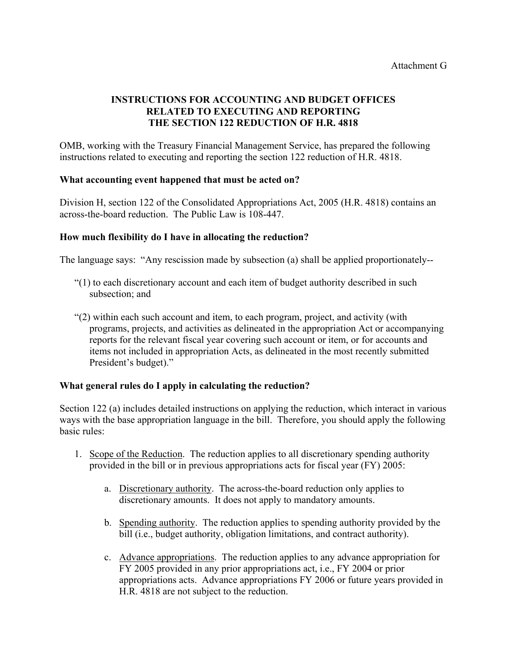# **INSTRUCTIONS FOR ACCOUNTING AND BUDGET OFFICES RELATED TO EXECUTING AND REPORTING THE SECTION 122 REDUCTION OF H.R. 4818**

OMB, working with the Treasury Financial Management Service, has prepared the following instructions related to executing and reporting the section 122 reduction of H.R. 4818.

### **What accounting event happened that must be acted on?**

Division H, section 122 of the Consolidated Appropriations Act, 2005 (H.R. 4818) contains an across-the-board reduction. The Public Law is 108-447.

# **How much flexibility do I have in allocating the reduction?**

The language says: "Any rescission made by subsection (a) shall be applied proportionately--

- "(1) to each discretionary account and each item of budget authority described in such subsection; and
- "(2) within each such account and item, to each program, project, and activity (with programs, projects, and activities as delineated in the appropriation Act or accompanying reports for the relevant fiscal year covering such account or item, or for accounts and items not included in appropriation Acts, as delineated in the most recently submitted President's budget)."

### **What general rules do I apply in calculating the reduction?**

Section 122 (a) includes detailed instructions on applying the reduction, which interact in various ways with the base appropriation language in the bill. Therefore, you should apply the following basic rules:

- 1. Scope of the Reduction. The reduction applies to all discretionary spending authority provided in the bill or in previous appropriations acts for fiscal year (FY) 2005:
	- a. Discretionary authority. The across-the-board reduction only applies to discretionary amounts. It does not apply to mandatory amounts.
	- b. Spending authority. The reduction applies to spending authority provided by the bill (i.e., budget authority, obligation limitations, and contract authority).
	- c. Advance appropriations. The reduction applies to any advance appropriation for FY 2005 provided in any prior appropriations act, i.e., FY 2004 or prior appropriations acts. Advance appropriations FY 2006 or future years provided in H.R. 4818 are not subject to the reduction.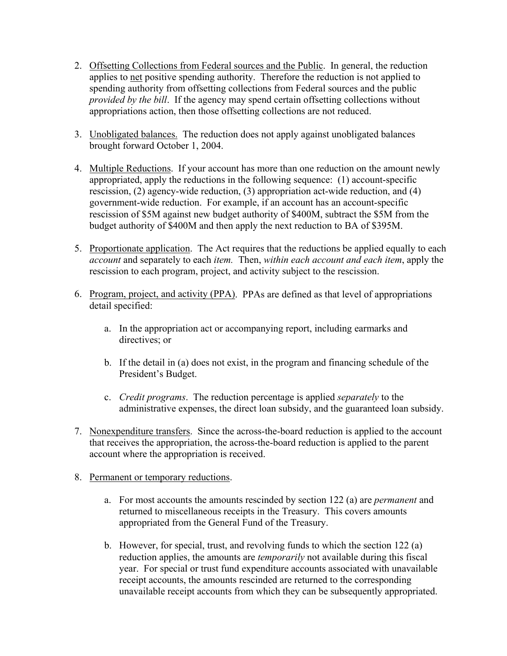- 2. Offsetting Collections from Federal sources and the Public. In general, the reduction applies to net positive spending authority. Therefore the reduction is not applied to spending authority from offsetting collections from Federal sources and the public *provided by the bill*. If the agency may spend certain offsetting collections without appropriations action, then those offsetting collections are not reduced.
- 3. Unobligated balances. The reduction does not apply against unobligated balances brought forward October 1, 2004.
- 4. Multiple Reductions. If your account has more than one reduction on the amount newly appropriated, apply the reductions in the following sequence: (1) account-specific rescission, (2) agency-wide reduction, (3) appropriation act-wide reduction, and (4) government-wide reduction. For example, if an account has an account-specific rescission of \$5M against new budget authority of \$400M, subtract the \$5M from the budget authority of \$400M and then apply the next reduction to BA of \$395M.
- 5. Proportionate application. The Act requires that the reductions be applied equally to each *account* and separately to each *item.* Then, *within each account and each item*, apply the rescission to each program, project, and activity subject to the rescission.
- 6. Program, project, and activity (PPA). PPAs are defined as that level of appropriations detail specified:
	- a. In the appropriation act or accompanying report, including earmarks and directives; or
	- b. If the detail in (a) does not exist, in the program and financing schedule of the President's Budget.
	- c. *Credit programs*. The reduction percentage is applied *separately* to the administrative expenses, the direct loan subsidy, and the guaranteed loan subsidy.
- 7. Nonexpenditure transfers. Since the across-the-board reduction is applied to the account that receives the appropriation, the across-the-board reduction is applied to the parent account where the appropriation is received.
- 8. Permanent or temporary reductions.
	- a. For most accounts the amounts rescinded by section 122 (a) are *permanent* and returned to miscellaneous receipts in the Treasury. This covers amounts appropriated from the General Fund of the Treasury.
	- b. However, for special, trust, and revolving funds to which the section 122 (a) reduction applies, the amounts are *temporarily* not available during this fiscal year. For special or trust fund expenditure accounts associated with unavailable receipt accounts, the amounts rescinded are returned to the corresponding unavailable receipt accounts from which they can be subsequently appropriated.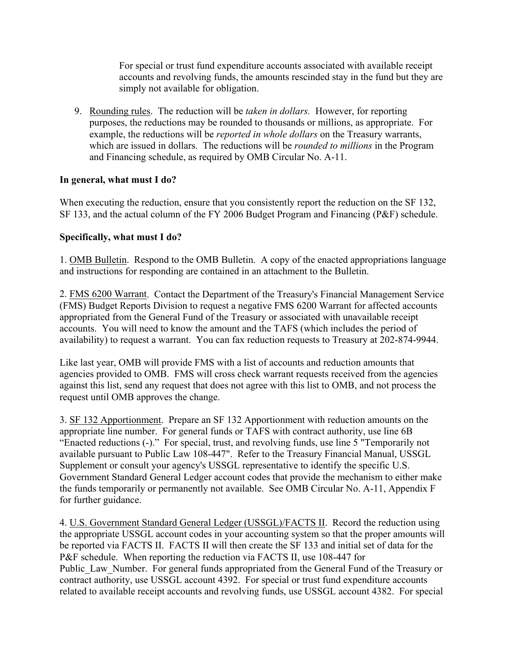For special or trust fund expenditure accounts associated with available receipt accounts and revolving funds, the amounts rescinded stay in the fund but they are simply not available for obligation.

9. Rounding rules. The reduction will be *taken in dollars.* However, for reporting purposes, the reductions may be rounded to thousands or millions, as appropriate. For example, the reductions will be *reported in whole dollars* on the Treasury warrants, which are issued in dollars. The reductions will be *rounded to millions* in the Program and Financing schedule, as required by OMB Circular No. A-11.

### **In general, what must I do?**

When executing the reduction, ensure that you consistently report the reduction on the SF 132, SF 133, and the actual column of the FY 2006 Budget Program and Financing (P&F) schedule.

# **Specifically, what must I do?**

1. OMB Bulletin. Respond to the OMB Bulletin. A copy of the enacted appropriations language and instructions for responding are contained in an attachment to the Bulletin.

2. FMS 6200 Warrant. Contact the Department of the Treasury's Financial Management Service (FMS) Budget Reports Division to request a negative FMS 6200 Warrant for affected accounts appropriated from the General Fund of the Treasury or associated with unavailable receipt accounts. You will need to know the amount and the TAFS (which includes the period of availability) to request a warrant. You can fax reduction requests to Treasury at 202-874-9944.

Like last year, OMB will provide FMS with a list of accounts and reduction amounts that agencies provided to OMB. FMS will cross check warrant requests received from the agencies against this list, send any request that does not agree with this list to OMB, and not process the request until OMB approves the change.

3. SF 132 Apportionment. Prepare an SF 132 Apportionment with reduction amounts on the appropriate line number. For general funds or TAFS with contract authority, use line 6B "Enacted reductions (-)." For special, trust, and revolving funds, use line 5 "Temporarily not available pursuant to Public Law 108-447". Refer to the Treasury Financial Manual, USSGL Supplement or consult your agency's USSGL representative to identify the specific U.S. Government Standard General Ledger account codes that provide the mechanism to either make the funds temporarily or permanently not available. See OMB Circular No. A-11, Appendix F for further guidance.

4. U.S. Government Standard General Ledger (USSGL)/FACTS II. Record the reduction using the appropriate USSGL account codes in your accounting system so that the proper amounts will be reported via FACTS II. FACTS II will then create the SF 133 and initial set of data for the P&F schedule. When reporting the reduction via FACTS II, use 108-447 for Public Law Number. For general funds appropriated from the General Fund of the Treasury or contract authority, use USSGL account 4392. For special or trust fund expenditure accounts related to available receipt accounts and revolving funds, use USSGL account 4382. For special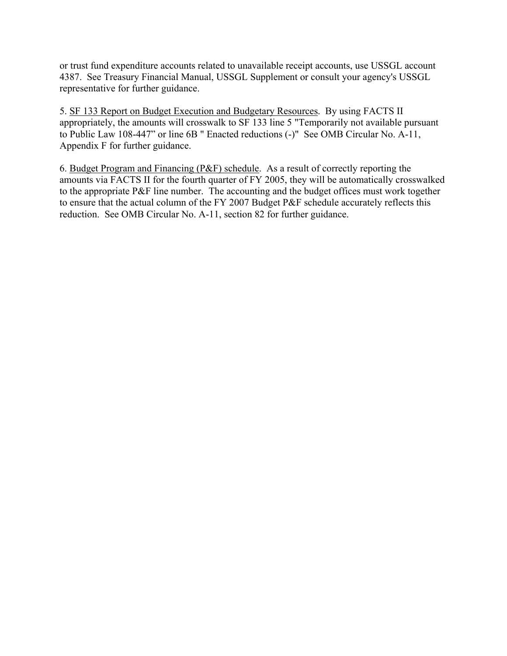or trust fund expenditure accounts related to unavailable receipt accounts, use USSGL account 4387. See Treasury Financial Manual, USSGL Supplement or consult your agency's USSGL representative for further guidance.

5. SF 133 Report on Budget Execution and Budgetary Resources. By using FACTS II appropriately, the amounts will crosswalk to SF 133 line 5 "Temporarily not available pursuant to Public Law 108-447" or line 6B " Enacted reductions (-)" See OMB Circular No. A-11, Appendix F for further guidance.

6. Budget Program and Financing (P&F) schedule. As a result of correctly reporting the amounts via FACTS II for the fourth quarter of FY 2005, they will be automatically crosswalked to the appropriate P&F line number. The accounting and the budget offices must work together to ensure that the actual column of the FY 2007 Budget P&F schedule accurately reflects this reduction. See OMB Circular No. A-11, section 82 for further guidance.